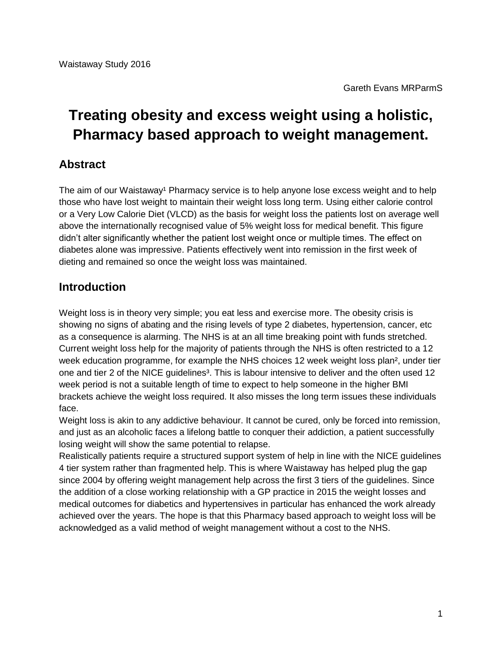# **Treating obesity and excess weight using a holistic, Pharmacy based approach to weight management.**

## **Abstract**

The aim of our Waistaway<sup>1</sup> Pharmacy service is to help anyone lose excess weight and to help those who have lost weight to maintain their weight loss long term. Using either calorie control or a Very Low Calorie Diet (VLCD) as the basis for weight loss the patients lost on average well above the internationally recognised value of 5% weight loss for medical benefit. This figure didn't alter significantly whether the patient lost weight once or multiple times. The effect on diabetes alone was impressive. Patients effectively went into remission in the first week of dieting and remained so once the weight loss was maintained.

## **Introduction**

Weight loss is in theory very simple; you eat less and exercise more. The obesity crisis is showing no signs of abating and the rising levels of type 2 diabetes, hypertension, cancer, etc as a consequence is alarming. The NHS is at an all time breaking point with funds stretched. Current weight loss help for the majority of patients through the NHS is often restricted to a 12 week education programme, for example the NHS choices 12 week weight loss plan², under tier one and tier 2 of the NICE guidelines<sup>3</sup>. This is labour intensive to deliver and the often used 12 week period is not a suitable length of time to expect to help someone in the higher BMI brackets achieve the weight loss required. It also misses the long term issues these individuals face.

Weight loss is akin to any addictive behaviour. It cannot be cured, only be forced into remission, and just as an alcoholic faces a lifelong battle to conquer their addiction, a patient successfully losing weight will show the same potential to relapse.

Realistically patients require a structured support system of help in line with the NICE guidelines 4 tier system rather than fragmented help. This is where Waistaway has helped plug the gap since 2004 by offering weight management help across the first 3 tiers of the guidelines. Since the addition of a close working relationship with a GP practice in 2015 the weight losses and medical outcomes for diabetics and hypertensives in particular has enhanced the work already achieved over the years. The hope is that this Pharmacy based approach to weight loss will be acknowledged as a valid method of weight management without a cost to the NHS.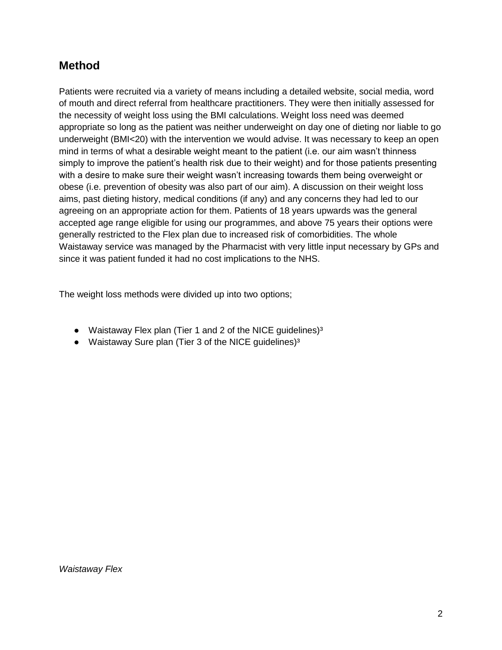## **Method**

Patients were recruited via a variety of means including a detailed website, social media, word of mouth and direct referral from healthcare practitioners. They were then initially assessed for the necessity of weight loss using the BMI calculations. Weight loss need was deemed appropriate so long as the patient was neither underweight on day one of dieting nor liable to go underweight (BMI<20) with the intervention we would advise. It was necessary to keep an open mind in terms of what a desirable weight meant to the patient (i.e. our aim wasn't thinness simply to improve the patient's health risk due to their weight) and for those patients presenting with a desire to make sure their weight wasn't increasing towards them being overweight or obese (i.e. prevention of obesity was also part of our aim). A discussion on their weight loss aims, past dieting history, medical conditions (if any) and any concerns they had led to our agreeing on an appropriate action for them. Patients of 18 years upwards was the general accepted age range eligible for using our programmes, and above 75 years their options were generally restricted to the Flex plan due to increased risk of comorbidities. The whole Waistaway service was managed by the Pharmacist with very little input necessary by GPs and since it was patient funded it had no cost implications to the NHS.

The weight loss methods were divided up into two options;

- Waistaway Flex plan (Tier 1 and 2 of the NICE guidelines)<sup>3</sup>
- Waistaway Sure plan (Tier 3 of the NICE quidelines)<sup>3</sup>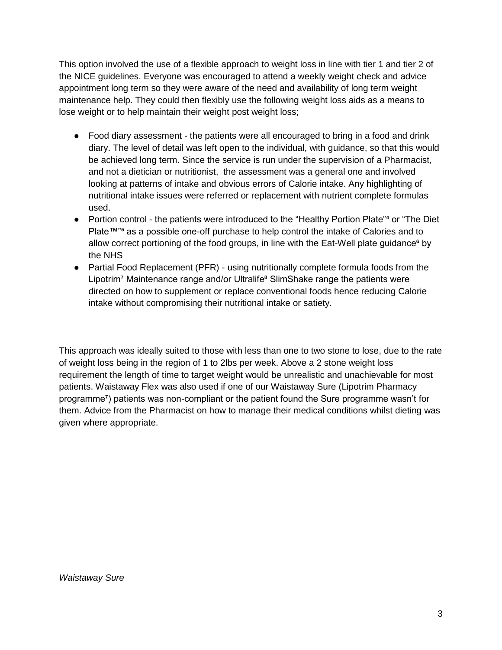This option involved the use of a flexible approach to weight loss in line with tier 1 and tier 2 of the NICE guidelines. Everyone was encouraged to attend a weekly weight check and advice appointment long term so they were aware of the need and availability of long term weight maintenance help. They could then flexibly use the following weight loss aids as a means to lose weight or to help maintain their weight post weight loss;

- Food diary assessment the patients were all encouraged to bring in a food and drink diary. The level of detail was left open to the individual, with guidance, so that this would be achieved long term. Since the service is run under the supervision of a Pharmacist, and not a dietician or nutritionist, the assessment was a general one and involved looking at patterns of intake and obvious errors of Calorie intake. Any highlighting of nutritional intake issues were referred or replacement with nutrient complete formulas used.
- Portion control the patients were introduced to the "Healthy Portion Plate"<sup>4</sup> or "The Diet" Plate™<sup>n</sup> as a possible one-off purchase to help control the intake of Calories and to allow correct portioning of the food groups, in line with the Eat-Well plate guidance<sup>6</sup> by the NHS
- Partial Food Replacement (PFR) using nutritionally complete formula foods from the Lipotrim<sup>7</sup> Maintenance range and/or Ultralife<sup>®</sup> SlimShake range the patients were directed on how to supplement or replace conventional foods hence reducing Calorie intake without compromising their nutritional intake or satiety.

This approach was ideally suited to those with less than one to two stone to lose, due to the rate of weight loss being in the region of 1 to 2lbs per week. Above a 2 stone weight loss requirement the length of time to target weight would be unrealistic and unachievable for most patients. Waistaway Flex was also used if one of our Waistaway Sure (Lipotrim Pharmacy programme⁷) patients was non-compliant or the patient found the Sure programme wasn't for them. Advice from the Pharmacist on how to manage their medical conditions whilst dieting was given where appropriate.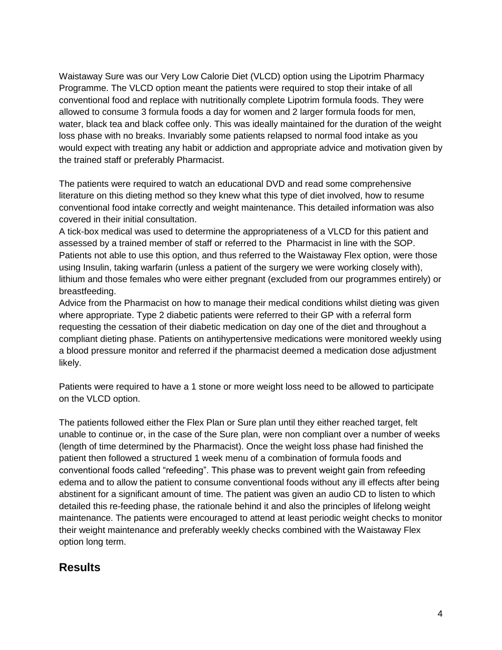Waistaway Sure was our Very Low Calorie Diet (VLCD) option using the Lipotrim Pharmacy Programme. The VLCD option meant the patients were required to stop their intake of all conventional food and replace with nutritionally complete Lipotrim formula foods. They were allowed to consume 3 formula foods a day for women and 2 larger formula foods for men, water, black tea and black coffee only. This was ideally maintained for the duration of the weight loss phase with no breaks. Invariably some patients relapsed to normal food intake as you would expect with treating any habit or addiction and appropriate advice and motivation given by the trained staff or preferably Pharmacist.

The patients were required to watch an educational DVD and read some comprehensive literature on this dieting method so they knew what this type of diet involved, how to resume conventional food intake correctly and weight maintenance. This detailed information was also covered in their initial consultation.

A tick-box medical was used to determine the appropriateness of a VLCD for this patient and assessed by a trained member of staff or referred to the Pharmacist in line with the SOP. Patients not able to use this option, and thus referred to the Waistaway Flex option, were those using Insulin, taking warfarin (unless a patient of the surgery we were working closely with), lithium and those females who were either pregnant (excluded from our programmes entirely) or breastfeeding.

Advice from the Pharmacist on how to manage their medical conditions whilst dieting was given where appropriate. Type 2 diabetic patients were referred to their GP with a referral form requesting the cessation of their diabetic medication on day one of the diet and throughout a compliant dieting phase. Patients on antihypertensive medications were monitored weekly using a blood pressure monitor and referred if the pharmacist deemed a medication dose adjustment likely.

Patients were required to have a 1 stone or more weight loss need to be allowed to participate on the VLCD option.

The patients followed either the Flex Plan or Sure plan until they either reached target, felt unable to continue or, in the case of the Sure plan, were non compliant over a number of weeks (length of time determined by the Pharmacist). Once the weight loss phase had finished the patient then followed a structured 1 week menu of a combination of formula foods and conventional foods called "refeeding". This phase was to prevent weight gain from refeeding edema and to allow the patient to consume conventional foods without any ill effects after being abstinent for a significant amount of time. The patient was given an audio CD to listen to which detailed this re-feeding phase, the rationale behind it and also the principles of lifelong weight maintenance. The patients were encouraged to attend at least periodic weight checks to monitor their weight maintenance and preferably weekly checks combined with the Waistaway Flex option long term.

## **Results**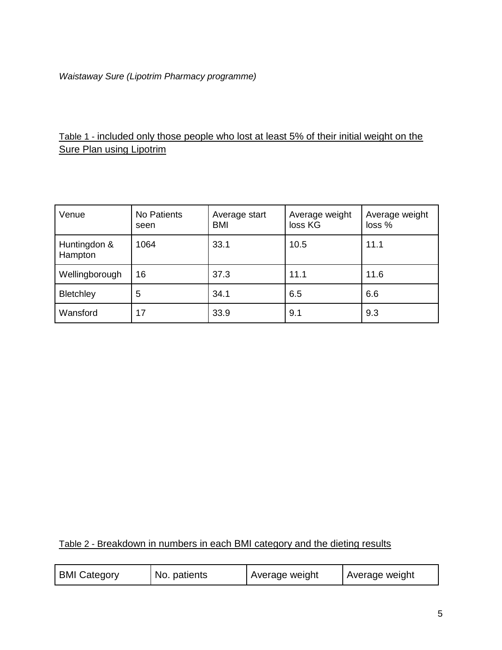#### *Waistaway Sure (Lipotrim Pharmacy programme)*

### Table 1 - included only those people who lost at least 5% of their initial weight on the **Sure Plan using Lipotrim**

| Venue                   | No Patients<br>seen | Average start<br><b>BMI</b> | Average weight<br>loss KG | Average weight<br>loss % |
|-------------------------|---------------------|-----------------------------|---------------------------|--------------------------|
| Huntingdon &<br>Hampton | 1064                | 33.1                        | 10.5                      | 11.1                     |
| Wellingborough          | 16                  | 37.3                        | 11.1                      | 11.6                     |
| Bletchley               | 5                   | 34.1                        | 6.5                       | 6.6                      |
| Wansford                | 17                  | 33.9                        | 9.1                       | 9.3                      |

## Table 2 - Breakdown in numbers in each BMI category and the dieting results

| <b>BMI Category</b><br>No. patients | Average weight | Average weight |
|-------------------------------------|----------------|----------------|
|-------------------------------------|----------------|----------------|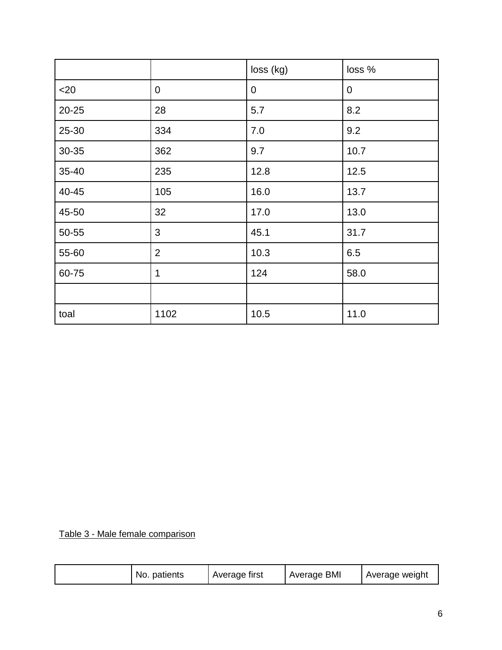|           |                | loss (kg)   | loss %      |
|-----------|----------------|-------------|-------------|
| $20$      | $\mathbf 0$    | $\mathbf 0$ | $\mathbf 0$ |
| $20 - 25$ | 28             | 5.7         | 8.2         |
| 25-30     | 334            | 7.0         | 9.2         |
| 30-35     | 362            | 9.7         | 10.7        |
| 35-40     | 235            | 12.8        | 12.5        |
| 40-45     | 105            | 16.0        | 13.7        |
| 45-50     | 32             | 17.0        | 13.0        |
| 50-55     | 3              | 45.1        | 31.7        |
| 55-60     | $\overline{2}$ | 10.3        | 6.5         |
| 60-75     | 1              | 124         | 58.0        |
|           |                |             |             |
| toal      | 1102           | 10.5        | 11.0        |

Table 3 - Male female comparison

| Average first<br>No. patients | Average BMI | Average weight |
|-------------------------------|-------------|----------------|
|-------------------------------|-------------|----------------|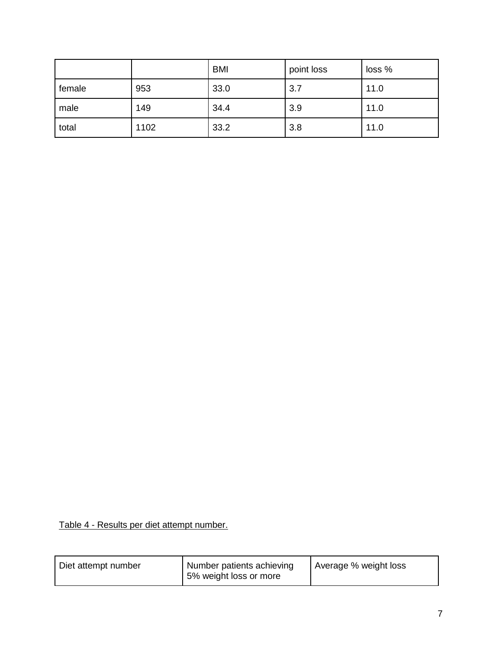|        |      | <b>BMI</b> | point loss | loss % |
|--------|------|------------|------------|--------|
| female | 953  | 33.0       | 3.7        | 11.0   |
| male   | 149  | 34.4       | 3.9        | 11.0   |
| total  | 1102 | 33.2       | 3.8        | 11.0   |

Table 4 - Results per diet attempt number.

| Diet attempt number | Number patients achieving<br>5% weight loss or more | Average % weight loss |
|---------------------|-----------------------------------------------------|-----------------------|
|---------------------|-----------------------------------------------------|-----------------------|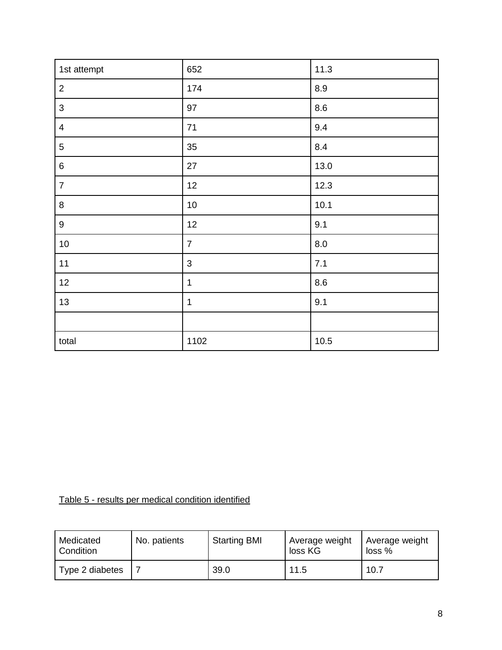| 1st attempt      | 652            | 11.3   |
|------------------|----------------|--------|
| $\overline{2}$   | 174            | 8.9    |
| $\mathfrak{B}$   | 97             | 8.6    |
| $\overline{4}$   | 71             | 9.4    |
| $\overline{5}$   | 35             | 8.4    |
| $\,6\,$          | 27             | 13.0   |
| $\overline{7}$   | 12             | 12.3   |
| $\bf 8$          | $10$           | 10.1   |
| $\boldsymbol{9}$ | 12             | 9.1    |
| $10$             | $\overline{7}$ | 8.0    |
| 11               | $\mathfrak{B}$ | 7.1    |
| 12               | $\mathbf 1$    | 8.6    |
| 13               | $\mathbf 1$    | 9.1    |
|                  |                |        |
| total            | 1102           | $10.5$ |

Table 5 - results per medical condition identified

| Medicated<br>Condition | No. patients | <b>Starting BMI</b> | <b>Average weight</b><br>loss KG | Average weight<br>$loss %$ |
|------------------------|--------------|---------------------|----------------------------------|----------------------------|
| Type 2 diabetes        |              | 39.0                | 11.5                             | 10.7                       |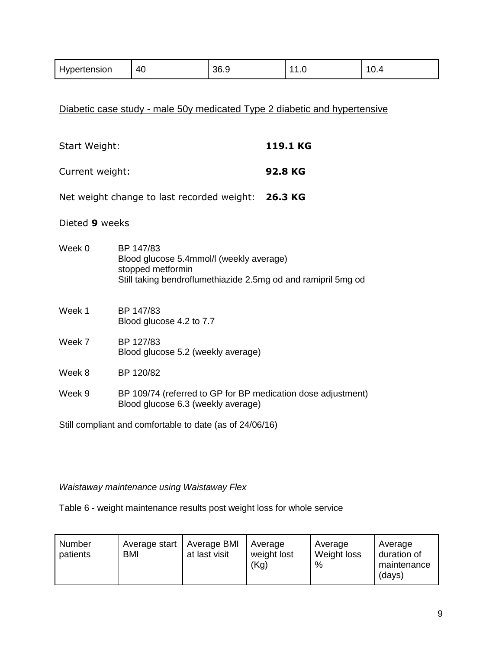| Hypertension | 40 | 36.9 | . | -<br>v.-1 |
|--------------|----|------|---|-----------|
|              |    |      |   |           |

Diabetic case study - male 50y medicated Type 2 diabetic and hypertensive

| Start Weight:   |                                                                                                                                             | 119.1 KG |
|-----------------|---------------------------------------------------------------------------------------------------------------------------------------------|----------|
| Current weight: |                                                                                                                                             | 92.8 KG  |
|                 | Net weight change to last recorded weight: 26.3 KG                                                                                          |          |
| Dieted 9 weeks  |                                                                                                                                             |          |
| Week 0          | BP 147/83<br>Blood glucose 5.4mmol/l (weekly average)<br>stopped metformin<br>Still taking bendroflumethiazide 2.5mg od and ramipril 5mg od |          |
| Week 1          | BP 147/83<br>Blood glucose 4.2 to 7.7                                                                                                       |          |
| Week 7          | BP 127/83<br>Blood glucose 5.2 (weekly average)                                                                                             |          |
| Week 8          | BP 120/82                                                                                                                                   |          |
| Week 9          | BP 109/74 (referred to GP for BP medication dose adjustment)<br>Blood glucose 6.3 (weekly average)                                          |          |
|                 | Still compliant and comfortable to date (as of 24/06/16)                                                                                    |          |

#### *Waistaway maintenance using Waistaway Flex*

Table 6 - weight maintenance results post weight loss for whole service

| Number<br>patients | Average start<br><b>BMI</b> | Average BMI<br>at last visit | Average<br>weight lost<br>(Kg) | Average<br>Weight loss<br>% | Average<br>duration of<br>maintenance<br>(days) |
|--------------------|-----------------------------|------------------------------|--------------------------------|-----------------------------|-------------------------------------------------|
|--------------------|-----------------------------|------------------------------|--------------------------------|-----------------------------|-------------------------------------------------|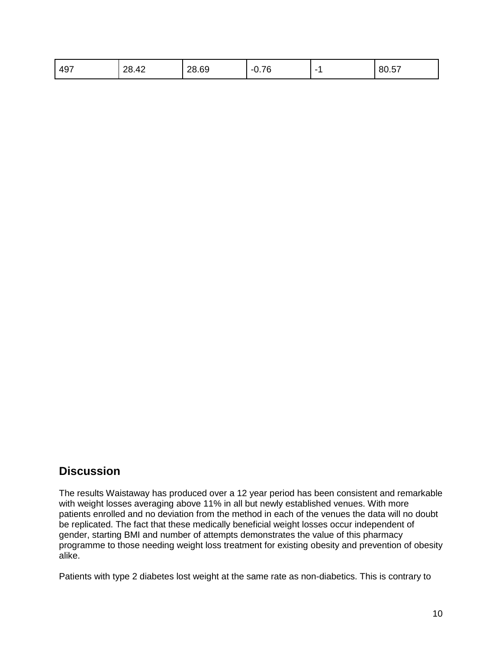## **Discussion**

The results Waistaway has produced over a 12 year period has been consistent and remarkable with weight losses averaging above 11% in all but newly established venues. With more patients enrolled and no deviation from the method in each of the venues the data will no doubt be replicated. The fact that these medically beneficial weight losses occur independent of gender, starting BMI and number of attempts demonstrates the value of this pharmacy programme to those needing weight loss treatment for existing obesity and prevention of obesity alike.

Patients with type 2 diabetes lost weight at the same rate as non-diabetics. This is contrary to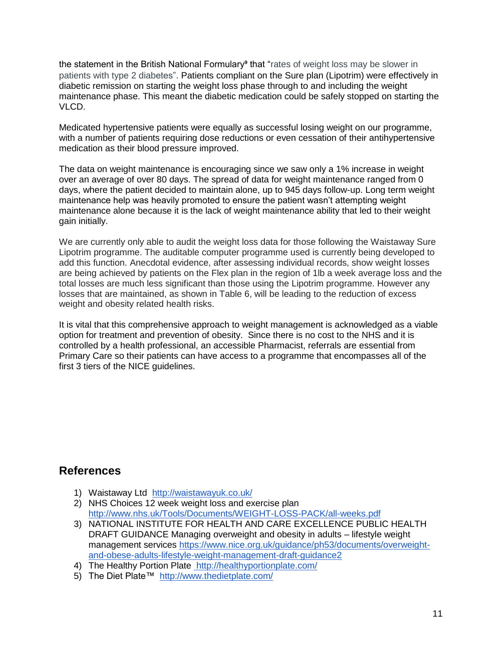the statement in the British National Formulary<sup>9</sup> that "rates of weight loss may be slower in patients with type 2 diabetes". Patients compliant on the Sure plan (Lipotrim) were effectively in diabetic remission on starting the weight loss phase through to and including the weight maintenance phase. This meant the diabetic medication could be safely stopped on starting the VLCD.

Medicated hypertensive patients were equally as successful losing weight on our programme, with a number of patients requiring dose reductions or even cessation of their antihypertensive medication as their blood pressure improved.

The data on weight maintenance is encouraging since we saw only a 1% increase in weight over an average of over 80 days. The spread of data for weight maintenance ranged from 0 days, where the patient decided to maintain alone, up to 945 days follow-up. Long term weight maintenance help was heavily promoted to ensure the patient wasn't attempting weight maintenance alone because it is the lack of weight maintenance ability that led to their weight gain initially.

We are currently only able to audit the weight loss data for those following the Waistaway Sure Lipotrim programme. The auditable computer programme used is currently being developed to add this function. Anecdotal evidence, after assessing individual records, show weight losses are being achieved by patients on the Flex plan in the region of 1lb a week average loss and the total losses are much less significant than those using the Lipotrim programme. However any losses that are maintained, as shown in Table 6, will be leading to the reduction of excess weight and obesity related health risks.

It is vital that this comprehensive approach to weight management is acknowledged as a viable option for treatment and prevention of obesity. Since there is no cost to the NHS and it is controlled by a health professional, an accessible Pharmacist, referrals are essential from Primary Care so their patients can have access to a programme that encompasses all of the first 3 tiers of the NICE guidelines.

## **References**

- 1) Waistaway Ltd <http://waistawayuk.co.uk/>
- 2) NHS Choices 12 week weight loss and exercise plan <http://www.nhs.uk/Tools/Documents/WEIGHT-LOSS-PACK/all-weeks.pdf>
- 3) NATIONAL INSTITUTE FOR HEALTH AND CARE EXCELLENCE PUBLIC HEALTH DRAFT GUIDANCE Managing overweight and obesity in adults – lifestyle weight management services [https://www.nice.org.uk/guidance/ph53/documents/overweight](https://www.nice.org.uk/guidance/ph53/documents/overweight-and-obese-adults-lifestyle-weight-management-draft-guidance2)[and-obese-adults-lifestyle-weight-management-draft-guidance2](https://www.nice.org.uk/guidance/ph53/documents/overweight-and-obese-adults-lifestyle-weight-management-draft-guidance2)
- 4) The Healthy Portion Plate<http://healthyportionplate.com/>
- 5) The Diet Plate™ <http://www.thedietplate.com/>